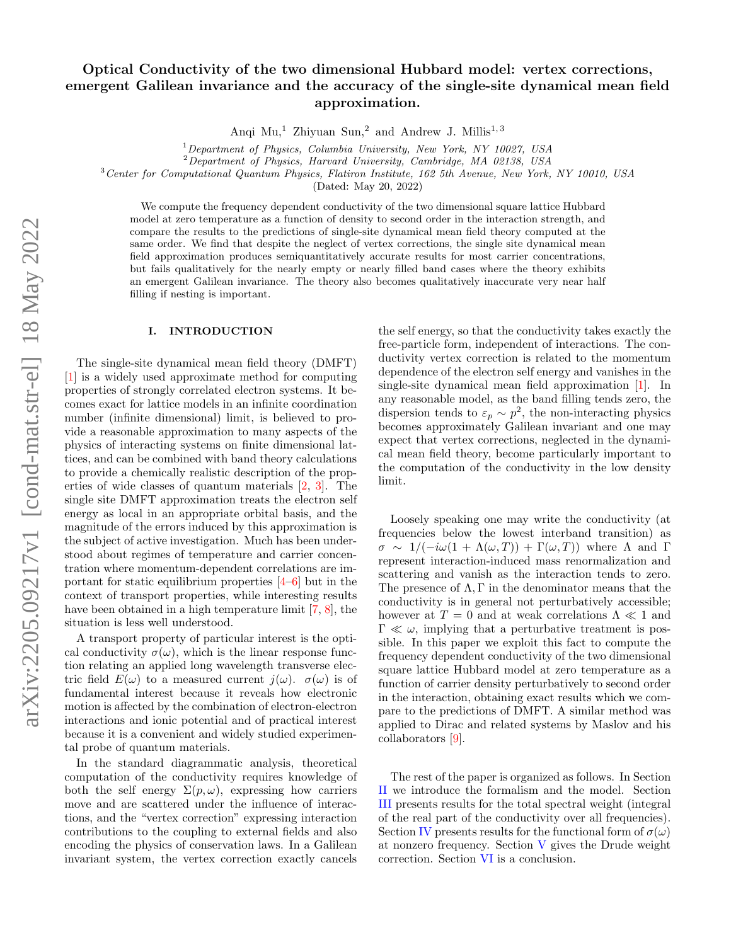# Optical Conductivity of the two dimensional Hubbard model: vertex corrections, emergent Galilean invariance and the accuracy of the single-site dynamical mean field approximation.

Anqi Mu,<sup>1</sup> Zhiyuan Sun,<sup>2</sup> and Andrew J. Millis<sup>1,3</sup>

 $1$ Department of Physics, Columbia University, New York, NY 10027, USA

<sup>2</sup>Department of Physics, Harvard University, Cambridge, MA 02138, USA

<sup>3</sup>Center for Computational Quantum Physics, Flatiron Institute, 162 5th Avenue, New York, NY 10010, USA

(Dated: May 20, 2022)

We compute the frequency dependent conductivity of the two dimensional square lattice Hubbard model at zero temperature as a function of density to second order in the interaction strength, and compare the results to the predictions of single-site dynamical mean field theory computed at the same order. We find that despite the neglect of vertex corrections, the single site dynamical mean field approximation produces semiquantitatively accurate results for most carrier concentrations, but fails qualitatively for the nearly empty or nearly filled band cases where the theory exhibits an emergent Galilean invariance. The theory also becomes qualitatively inaccurate very near half filling if nesting is important.

#### I. INTRODUCTION

The single-site dynamical mean field theory (DMFT) [\[1\]](#page-10-0) is a widely used approximate method for computing properties of strongly correlated electron systems. It becomes exact for lattice models in an infinite coordination number (infinite dimensional) limit, is believed to provide a reasonable approximation to many aspects of the physics of interacting systems on finite dimensional lattices, and can be combined with band theory calculations to provide a chemically realistic description of the properties of wide classes of quantum materials [\[2,](#page-10-1) [3\]](#page-10-2). The single site DMFT approximation treats the electron self energy as local in an appropriate orbital basis, and the magnitude of the errors induced by this approximation is the subject of active investigation. Much has been understood about regimes of temperature and carrier concentration where momentum-dependent correlations are important for static equilibrium properties [\[4–](#page-10-3)[6\]](#page-11-0) but in the context of transport properties, while interesting results have been obtained in a high temperature limit [\[7,](#page-11-1) [8\]](#page-11-2), the situation is less well understood.

A transport property of particular interest is the optical conductivity  $\sigma(\omega)$ , which is the linear response function relating an applied long wavelength transverse electric field  $E(\omega)$  to a measured current  $j(\omega)$ .  $\sigma(\omega)$  is of fundamental interest because it reveals how electronic motion is affected by the combination of electron-electron interactions and ionic potential and of practical interest because it is a convenient and widely studied experimental probe of quantum materials.

In the standard diagrammatic analysis, theoretical computation of the conductivity requires knowledge of both the self energy  $\Sigma(p,\omega)$ , expressing how carriers move and are scattered under the influence of interactions, and the "vertex correction" expressing interaction contributions to the coupling to external fields and also encoding the physics of conservation laws. In a Galilean invariant system, the vertex correction exactly cancels

the self energy, so that the conductivity takes exactly the free-particle form, independent of interactions. The conductivity vertex correction is related to the momentum dependence of the electron self energy and vanishes in the single-site dynamical mean field approximation [\[1\]](#page-10-0). In any reasonable model, as the band filling tends zero, the dispersion tends to  $\varepsilon_p \sim p^2$ , the non-interacting physics becomes approximately Galilean invariant and one may expect that vertex corrections, neglected in the dynamical mean field theory, become particularly important to the computation of the conductivity in the low density limit.

Loosely speaking one may write the conductivity (at frequencies below the lowest interband transition) as  $\sigma \sim 1/(-i\omega(1 + \Lambda(\omega, T)) + \Gamma(\omega, T))$  where  $\Lambda$  and  $\Gamma$ represent interaction-induced mass renormalization and scattering and vanish as the interaction tends to zero. The presence of  $\Lambda$ , Γ in the denominator means that the conductivity is in general not perturbatively accessible; however at  $T$  = 0 and at weak correlations  $\Lambda$   $\ll$  1 and  $\Gamma \ll \omega$ , implying that a perturbative treatment is possible. In this paper we exploit this fact to compute the frequency dependent conductivity of the two dimensional square lattice Hubbard model at zero temperature as a function of carrier density perturbatively to second order in the interaction, obtaining exact results which we compare to the predictions of DMFT. A similar method was applied to Dirac and related systems by Maslov and his collaborators [\[9\]](#page-11-3).

The rest of the paper is organized as follows. In Section [II](#page-1-0) we introduce the formalism and the model. Section [III](#page-2-0) presents results for the total spectral weight (integral of the real part of the conductivity over all frequencies). Section [IV](#page-3-0) presents results for the functional form of  $\sigma(\omega)$ at nonzero frequency. Section [V](#page-5-0) gives the Drude weight correction. Section [VI](#page-6-0) is a conclusion.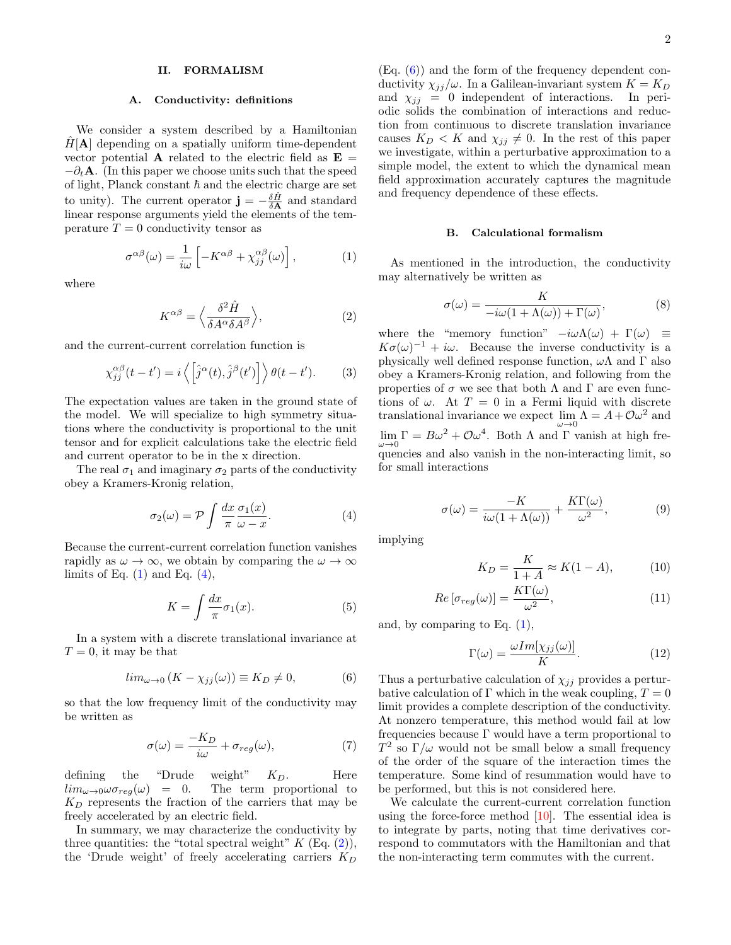### <span id="page-1-0"></span>II. FORMALISM

#### A. Conductivity: definitions

We consider a system described by a Hamiltonian  $H[A]$  depending on a spatially uniform time-dependent vector potential **A** related to the electric field as  $\mathbf{E} =$  $-\partial_t \mathbf{A}$ . (In this paper we choose units such that the speed of light, Planck constant  $\hbar$  and the electric charge are set to unity). The current operator  $\mathbf{j} = -\frac{\delta \hat{H}}{\delta \mathbf{A}}$  and standard linear response arguments yield the elements of the temperature  $T = 0$  conductivity tensor as

<span id="page-1-1"></span>
$$
\sigma^{\alpha\beta}(\omega) = \frac{1}{i\omega} \left[ -K^{\alpha\beta} + \chi_{jj}^{\alpha\beta}(\omega) \right],\tag{1}
$$

where

<span id="page-1-3"></span>
$$
K^{\alpha\beta} = \left\langle \frac{\delta^2 \hat{H}}{\delta A^{\alpha} \delta A^{\beta}} \right\rangle, \tag{2}
$$

and the current-current correlation function is

$$
\chi_{jj}^{\alpha\beta}(t-t') = i \left\langle \left[\hat{j}^{\alpha}(t), \hat{j}^{\beta}(t')\right] \right\rangle \theta(t-t'). \tag{3}
$$

The expectation values are taken in the ground state of the model. We will specialize to high symmetry situations where the conductivity is proportional to the unit tensor and for explicit calculations take the electric field and current operator to be in the x direction.

The real  $\sigma_1$  and imaginary  $\sigma_2$  parts of the conductivity obey a Kramers-Kronig relation,

<span id="page-1-2"></span>
$$
\sigma_2(\omega) = \mathcal{P} \int \frac{dx}{\pi} \frac{\sigma_1(x)}{\omega - x}.
$$
 (4)

Because the current-current correlation function vanishes rapidly as  $\omega \to \infty$ , we obtain by comparing the  $\omega \to \infty$ limits of Eq.  $(1)$  and Eq.  $(4)$ ,

$$
K = \int \frac{dx}{\pi} \sigma_1(x). \tag{5}
$$

In a system with a discrete translational invariance at  $T = 0$ , it may be that

<span id="page-1-4"></span>
$$
lim_{\omega \to 0} (K - \chi_{jj}(\omega)) \equiv K_D \neq 0,
$$
 (6)

so that the low frequency limit of the conductivity may be written as

<span id="page-1-7"></span>
$$
\sigma(\omega) = \frac{-K_D}{i\omega} + \sigma_{reg}(\omega),\tag{7}
$$

defining the "Drude weight"  $K_D$ . Here  $\lim_{\omega \to 0} \omega \sigma_{reg}(\omega) = 0$ . The term proportional to  $K_D$  represents the fraction of the carriers that may be freely accelerated by an electric field.

In summary, we may characterize the conductivity by three quantities: the "total spectral weight"  $K$  (Eq.  $(2)$ ), the 'Drude weight' of freely accelerating carriers  $K_D$ 

(Eq. [\(6\)](#page-1-4)) and the form of the frequency dependent conductivity  $\chi_{jj}/\omega$ . In a Galilean-invariant system  $K = K_D$ and  $\chi_{jj} = 0$  independent of interactions. In periodic solids the combination of interactions and reduction from continuous to discrete translation invariance causes  $K_D < K$  and  $\chi_{ij} \neq 0$ . In the rest of this paper we investigate, within a perturbative approximation to a simple model, the extent to which the dynamical mean field approximation accurately captures the magnitude and frequency dependence of these effects.

#### B. Calculational formalism

As mentioned in the introduction, the conductivity may alternatively be written as

$$
\sigma(\omega) = \frac{K}{-i\omega(1 + \Lambda(\omega)) + \Gamma(\omega)},
$$
\n(8)

where the "memory function"  $-i\omega\Lambda(\omega) + \Gamma(\omega) \equiv$  $K\sigma(\omega)^{-1} + i\omega$ . Because the inverse conductivity is a physically well defined response function,  $\omega\Lambda$  and  $\Gamma$  also obey a Kramers-Kronig relation, and following from the properties of  $\sigma$  we see that both  $\Lambda$  and  $\Gamma$  are even functions of  $\omega$ . At  $T = 0$  in a Fermi liquid with discrete translational invariance we expect  $\lim_{\omega \to 0} \Lambda = A + \mathcal{O}\omega^2$  and  $\lim_{\omega \to 0} \Gamma = B\omega^2 + \mathcal{O}\omega^4$ . Both  $\Lambda$  and  $\Gamma$  vanish at high frequencies and also vanish in the non-interacting limit, so for small interactions

<span id="page-1-6"></span>
$$
\sigma(\omega) = \frac{-K}{i\omega(1 + \Lambda(\omega))} + \frac{K\Gamma(\omega)}{\omega^2},\tag{9}
$$

implying

$$
K_D = \frac{K}{1+A} \approx K(1-A),\tag{10}
$$

$$
Re\left[\sigma_{reg}(\omega)\right] = \frac{K\Gamma(\omega)}{\omega^2},\tag{11}
$$

and, by comparing to Eq. [\(1\)](#page-1-1),

<span id="page-1-5"></span>
$$
\Gamma(\omega) = \frac{\omega Im[\chi_{jj}(\omega)]}{K}.
$$
\n(12)

Thus a perturbative calculation of  $\chi_{jj}$  provides a perturbative calculation of Γ which in the weak coupling,  $T = 0$ limit provides a complete description of the conductivity. At nonzero temperature, this method would fail at low frequencies because  $\Gamma$  would have a term proportional to  $T^2$  so  $\Gamma/\omega$  would not be small below a small frequency of the order of the square of the interaction times the temperature. Some kind of resummation would have to be performed, but this is not considered here.

We calculate the current-current correlation function using the force-force method [\[10\]](#page-11-4). The essential idea is to integrate by parts, noting that time derivatives correspond to commutators with the Hamiltonian and that the non-interacting term commutes with the current.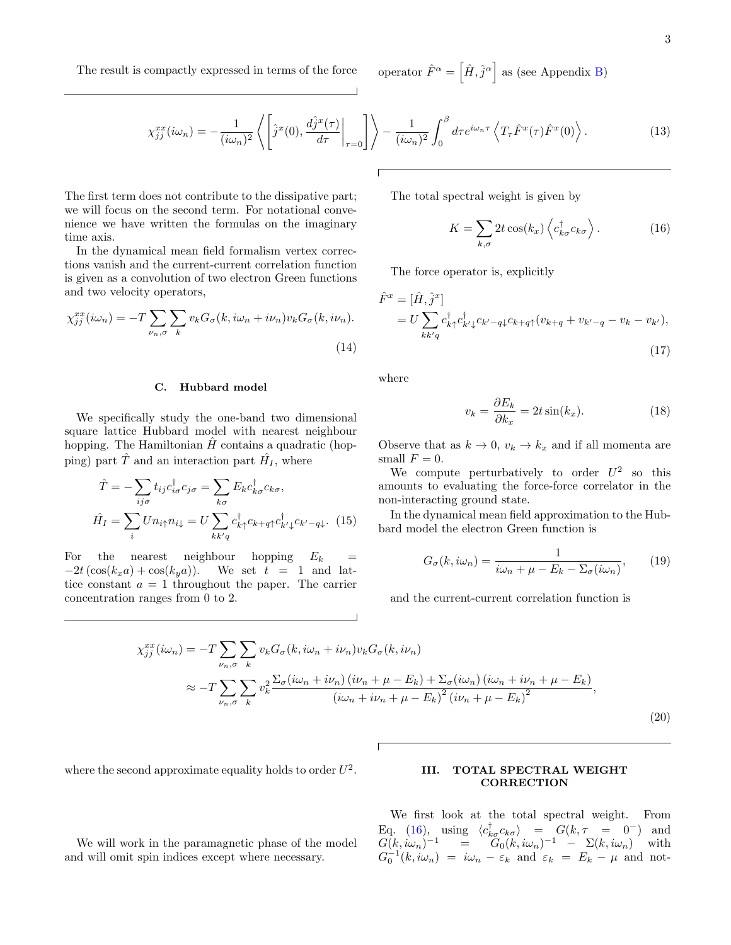$\left[\hat{H}, \hat{j}^{\alpha}\right]$  as (see Appendix [B\)](#page-7-0)

$$
\chi_{jj}^{xx}(i\omega_n) = -\frac{1}{(i\omega_n)^2} \left\langle \left[ \hat{j}^x(0), \frac{d\hat{j}^x(\tau)}{d\tau} \bigg|_{\tau=0} \right] \right\rangle - \frac{1}{(i\omega_n)^2} \int_0^\beta d\tau e^{i\omega_n \tau} \left\langle T_\tau \hat{F}^x(\tau) \hat{F}^x(0) \right\rangle. \tag{13}
$$

The first term does not contribute to the dissipative part; we will focus on the second term. For notational convenience we have written the formulas on the imaginary time axis.

In the dynamical mean field formalism vertex corrections vanish and the current-current correlation function is given as a convolution of two electron Green functions and two velocity operators,

$$
\chi_{jj}^{xx}(i\omega_n) = -T \sum_{\nu_n, \sigma} \sum_k v_k G_{\sigma}(k, i\omega_n + i\nu_n) v_k G_{\sigma}(k, i\nu_n).
$$
\n(14)

### C. Hubbard model

We specifically study the one-band two dimensional square lattice Hubbard model with nearest neighbour hopping. The Hamiltonian  $H$  contains a quadratic (hopping) part  $\hat{T}$  and an interaction part  $\hat{H}_I$ , where

$$
\hat{T} = -\sum_{ij\sigma} t_{ij} c_{i\sigma}^{\dagger} c_{j\sigma} = \sum_{k\sigma} E_k c_{k\sigma}^{\dagger} c_{k\sigma},
$$
\n
$$
\hat{H}_I = \sum_i U n_{i\uparrow} n_{i\downarrow} = U \sum_{k k' q} c_{k\uparrow}^{\dagger} c_{k+q\uparrow} c_{k'\downarrow}^{\dagger} c_{k'-q\downarrow}. \tag{15}
$$

For the nearest neighbour hopping  $E_k$  =  $-2t(\cos(k_xa) + \cos(k_ya)).$  We set  $t = 1$  and lattice constant  $a = 1$  throughout the paper. The carrier concentration ranges from 0 to 2.

The total spectral weight is given by

<span id="page-2-1"></span>
$$
K = \sum_{k,\sigma} 2t \cos(k_x) \left\langle c_{k\sigma}^\dagger c_{k\sigma} \right\rangle. \tag{16}
$$

The force operator is, explicitly

<span id="page-2-2"></span>
$$
\hat{F}^x = [\hat{H}, \hat{j}^x]
$$
\n
$$
= U \sum_{kk'q} c_{k\uparrow}^\dagger c_{k'\downarrow}^\dagger c_{k'-q\downarrow} c_{k+q\uparrow} (v_{k+q} + v_{k'-q} - v_k - v_{k'}),
$$
\n(17)

where

$$
v_k = \frac{\partial E_k}{\partial k_x} = 2t \sin(k_x). \tag{18}
$$

Observe that as  $k \to 0$ ,  $v_k \to k_x$  and if all momenta are small  $F = 0$ .

We compute perturbatively to order  $U^2$  so this amounts to evaluating the force-force correlator in the non-interacting ground state.

In the dynamical mean field approximation to the Hubbard model the electron Green function is

$$
G_{\sigma}(k, i\omega_n) = \frac{1}{i\omega_n + \mu - E_k - \Sigma_{\sigma}(i\omega_n)},
$$
 (19)

and the current-current correlation function is

<span id="page-2-3"></span>
$$
\chi_{jj}^{xx}(i\omega_n) = -T \sum_{\nu_n,\sigma} \sum_k v_k G_{\sigma}(k, i\omega_n + i\nu_n) v_k G_{\sigma}(k, i\nu_n)
$$
  

$$
\approx -T \sum_{\nu_n,\sigma} \sum_k v_k^2 \frac{\Sigma_{\sigma}(i\omega_n + i\nu_n) (i\nu_n + \mu - E_k) + \Sigma_{\sigma}(i\omega_n) (i\omega_n + i\nu_n + \mu - E_k)}{(i\omega_n + i\nu_n + \mu - E_k)^2 (i\nu_n + \mu - E_k)^2},
$$
  
(20)

where the second approximate equality holds to order  $U^2$ .

We will work in the paramagnetic phase of the model

and will omit spin indices except where necessary.

### <span id="page-2-0"></span>III. TOTAL SPECTRAL WEIGHT **CORRECTION**

We first look at the total spectral weight. From Eq. [\(16\)](#page-2-1), using  $\langle c_{k\sigma}^{\dagger} c_{k\sigma} \rangle = G(k, \tau = 0^{-})$  and  $G(k,i\omega_n)^{-1} = \widetilde{G}_0(k,i\omega_n)^{-1} - \Sigma(k,i\omega_n)$  with  $G_0^{-1}(k,i\omega_n) = i\omega_n - \varepsilon_k$  and  $\varepsilon_k = E_k - \mu$  and not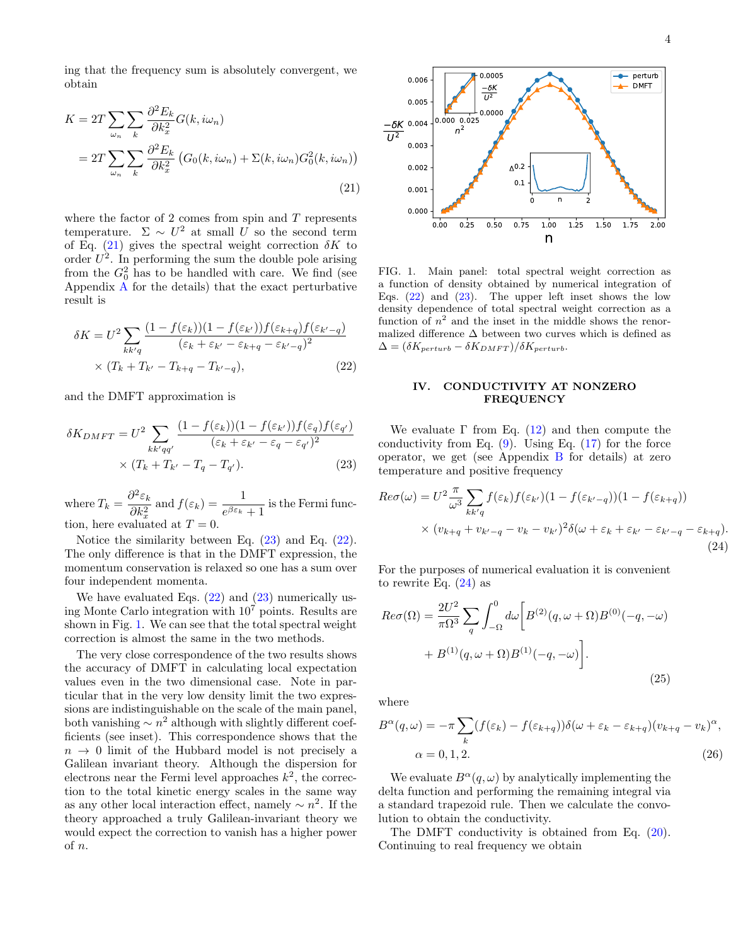ing that the frequency sum is absolutely convergent, we obtain

<span id="page-3-1"></span>
$$
K = 2T \sum_{\omega_n} \sum_k \frac{\partial^2 E_k}{\partial k_x^2} G(k, i\omega_n)
$$
  
= 
$$
2T \sum_{\omega_n} \sum_k \frac{\partial^2 E_k}{\partial k_x^2} \left( G_0(k, i\omega_n) + \Sigma(k, i\omega_n) G_0^2(k, i\omega_n) \right)
$$
  
(21)

where the factor of 2 comes from spin and  $T$  represents temperature.  $\Sigma \sim U^2$  at small U so the second term of Eq. [\(21\)](#page-3-1) gives the spectral weight correction  $\delta K$  to order  $U^2$ . In performing the sum the double pole arising from the  $G_0^2$  has to be handled with care. We find (see Appendix [A](#page-6-1) for the details) that the exact perturbative result is

<span id="page-3-3"></span>
$$
\delta K = U^2 \sum_{kk'q} \frac{(1 - f(\varepsilon_k))(1 - f(\varepsilon_{k'}))f(\varepsilon_{k+q})f(\varepsilon_{k'-q})}{(\varepsilon_k + \varepsilon_{k'} - \varepsilon_{k+q} - \varepsilon_{k'-q})^2} \times (T_k + T_{k'} - T_{k+q} - T_{k'-q}),
$$
\n(22)

and the DMFT approximation is

<span id="page-3-2"></span>
$$
\delta K_{DMFT} = U^2 \sum_{kk'qq'} \frac{(1 - f(\varepsilon_k))(1 - f(\varepsilon_{k'}))f(\varepsilon_q)f(\varepsilon_{q'})}{(\varepsilon_k + \varepsilon_{k'} - \varepsilon_q - \varepsilon_{q'})^2} \times (T_k + T_{k'} - T_q - T_{q'}).
$$
\n(23)

where  $T_k = \frac{\partial^2 \varepsilon_k}{\partial L^2}$  $\frac{\partial^2 \varepsilon_k}{\partial k_x^2}$  and  $f(\varepsilon_k) = \frac{1}{e^{\beta \varepsilon_k} + 1}$  is the Fermi function, here evaluated at  $T = 0$ .

Notice the similarity between Eq. [\(23\)](#page-3-2) and Eq. [\(22\)](#page-3-3). The only difference is that in the DMFT expression, the momentum conservation is relaxed so one has a sum over four independent momenta.

We have evaluated Eqs.  $(22)$  and  $(23)$  numerically using Monte Carlo integration with  $10<sup>7</sup>$  points. Results are shown in Fig. [1.](#page-3-4) We can see that the total spectral weight correction is almost the same in the two methods.

The very close correspondence of the two results shows the accuracy of DMFT in calculating local expectation values even in the two dimensional case. Note in particular that in the very low density limit the two expressions are indistinguishable on the scale of the main panel, both vanishing  $\sim n^2$  although with slightly different coefficients (see inset). This correspondence shows that the  $n \to 0$  limit of the Hubbard model is not precisely a Galilean invariant theory. Although the dispersion for electrons near the Fermi level approaches  $k^2$ , the correction to the total kinetic energy scales in the same way as any other local interaction effect, namely  $\sim n^2$ . If the theory approached a truly Galilean-invariant theory we would expect the correction to vanish has a higher power of n.



<span id="page-3-4"></span>FIG. 1. Main panel: total spectral weight correction as a function of density obtained by numerical integration of Eqs.  $(22)$  and  $(23)$ . The upper left inset shows the low density dependence of total spectral weight correction as a function of  $n^2$  and the inset in the middle shows the renormalized difference  $\Delta$  between two curves which is defined as  $\Delta = (\delta K_{perturb} - \delta K_{DMFT})/\delta K_{perturb}.$ 

### <span id="page-3-0"></span>IV. CONDUCTIVITY AT NONZERO FREQUENCY

We evaluate  $\Gamma$  from Eq. [\(12\)](#page-1-5) and then compute the conductivity from Eq.  $(9)$ . Using Eq.  $(17)$  for the force operator, we get (see Appendix  $\overline{B}$  $\overline{B}$  $\overline{B}$  for details) at zero temperature and positive frequency

<span id="page-3-5"></span>
$$
Re\sigma(\omega) = U^2 \frac{\pi}{\omega^3} \sum_{kk'q} f(\varepsilon_k) f(\varepsilon_{k'}) (1 - f(\varepsilon_{k'-q})) (1 - f(\varepsilon_{k+q}))
$$
  
 
$$
\times (v_{k+q} + v_{k'-q} - v_k - v_{k'})^2 \delta(\omega + \varepsilon_k + \varepsilon_{k'} - \varepsilon_{k'-q} - \varepsilon_{k+q}).
$$
  
(24)

For the purposes of numerical evaluation it is convenient to rewrite Eq.  $(24)$  as

$$
Re\sigma(\Omega) = \frac{2U^2}{\pi\Omega^3} \sum_{q} \int_{-\Omega}^{0} d\omega \left[ B^{(2)}(q,\omega+\Omega)B^{(0)}(-q,-\omega) + B^{(1)}(q,\omega+\Omega)B^{(1)}(-q,-\omega) \right].
$$
\n(25)

where

$$
B^{\alpha}(q,\omega) = -\pi \sum_{k} (f(\varepsilon_{k}) - f(\varepsilon_{k+q})) \delta(\omega + \varepsilon_{k} - \varepsilon_{k+q}) (v_{k+q} - v_{k})^{\alpha},
$$
  

$$
\alpha = 0, 1, 2.
$$
 (26)

We evaluate  $B^{\alpha}(q,\omega)$  by analytically implementing the delta function and performing the remaining integral via a standard trapezoid rule. Then we calculate the convolution to obtain the conductivity.

The DMFT conductivity is obtained from Eq. [\(20\)](#page-2-3). Continuing to real frequency we obtain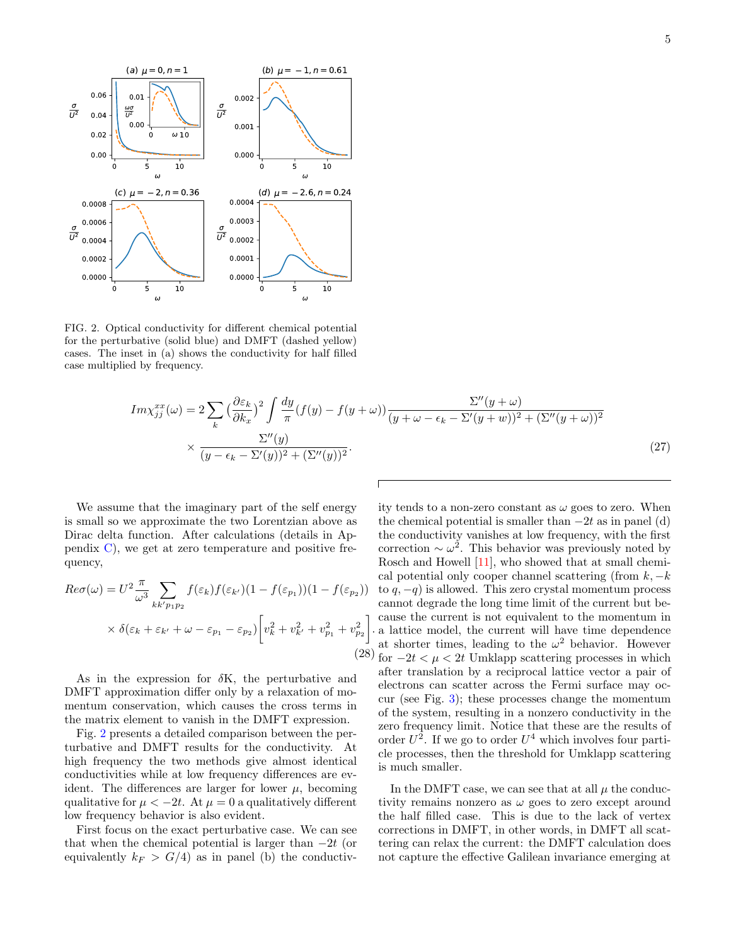

<span id="page-4-0"></span>FIG. 2. Optical conductivity for different chemical potential for the perturbative (solid blue) and DMFT (dashed yellow) cases. The inset in (a) shows the conductivity for half filled case multiplied by frequency.

$$
Im \chi_{jj}^{xx}(\omega) = 2 \sum_{k} \left(\frac{\partial \varepsilon_{k}}{\partial k_{x}}\right)^{2} \int \frac{dy}{\pi} (f(y) - f(y + \omega)) \frac{\Sigma''(y + \omega)}{(y + \omega - \epsilon_{k} - \Sigma'(y + \omega))^{2} + (\Sigma''(y + \omega))^{2}} \times \frac{\Sigma''(y)}{(y - \epsilon_{k} - \Sigma'(y))^{2} + (\Sigma''(y))^{2}}.
$$
\n(27)

.

We assume that the imaginary part of the self energy is small so we approximate the two Lorentzian above as Dirac delta function. After calculations (details in Appendix  $C$ , we get at zero temperature and positive frequency,

<span id="page-4-1"></span>
$$
Re\sigma(\omega) = U^2 \frac{\pi}{\omega^3} \sum_{kk'p_1p_2} f(\varepsilon_k) f(\varepsilon_{k'}) (1 - f(\varepsilon_{p_1}))(1 - f(\varepsilon_{p_2}))
$$
  
 
$$
\times \delta(\varepsilon_k + \varepsilon_{k'} + \omega - \varepsilon_{p_1} - \varepsilon_{p_2}) \left[ v_k^2 + v_{k'}^2 + v_{p_1}^2 + v_{p_2}^2 \right].
$$
 (28)

As in the expression for  $\delta K$ , the perturbative and DMFT approximation differ only by a relaxation of momentum conservation, which causes the cross terms in the matrix element to vanish in the DMFT expression.

Fig. [2](#page-4-0) presents a detailed comparison between the perturbative and DMFT results for the conductivity. At high frequency the two methods give almost identical conductivities while at low frequency differences are evident. The differences are larger for lower  $\mu$ , becoming qualitative for  $\mu < -2t$ . At  $\mu = 0$  a qualitatively different low frequency behavior is also evident.

First focus on the exact perturbative case. We can see that when the chemical potential is larger than  $-2t$  (or equivalently  $k_F > G/4$  as in panel (b) the conductivity tends to a non-zero constant as  $\omega$  goes to zero. When the chemical potential is smaller than  $-2t$  as in panel (d) the conductivity vanishes at low frequency, with the first correction  $\sim \omega^2$ . This behavior was previously noted by Rosch and Howell [\[11\]](#page-11-5), who showed that at small chemical potential only cooper channel scattering (from  $k, -k$ to  $q, -q$ ) is allowed. This zero crystal momentum process cannot degrade the long time limit of the current but because the current is not equivalent to the momentum in a lattice model, the current will have time dependence at shorter times, leading to the  $\omega^2$  behavior. However for  $-2t < \mu < 2t$  Umklapp scattering processes in which after translation by a reciprocal lattice vector a pair of electrons can scatter across the Fermi surface may occur (see Fig. [3\)](#page-5-1); these processes change the momentum of the system, resulting in a nonzero conductivity in the zero frequency limit. Notice that these are the results of order  $U^2$ . If we go to order  $U^4$  which involves four particle processes, then the threshold for Umklapp scattering is much smaller.

In the DMFT case, we can see that at all  $\mu$  the conductivity remains nonzero as  $\omega$  goes to zero except around the half filled case. This is due to the lack of vertex corrections in DMFT, in other words, in DMFT all scattering can relax the current: the DMFT calculation does not capture the effective Galilean invariance emerging at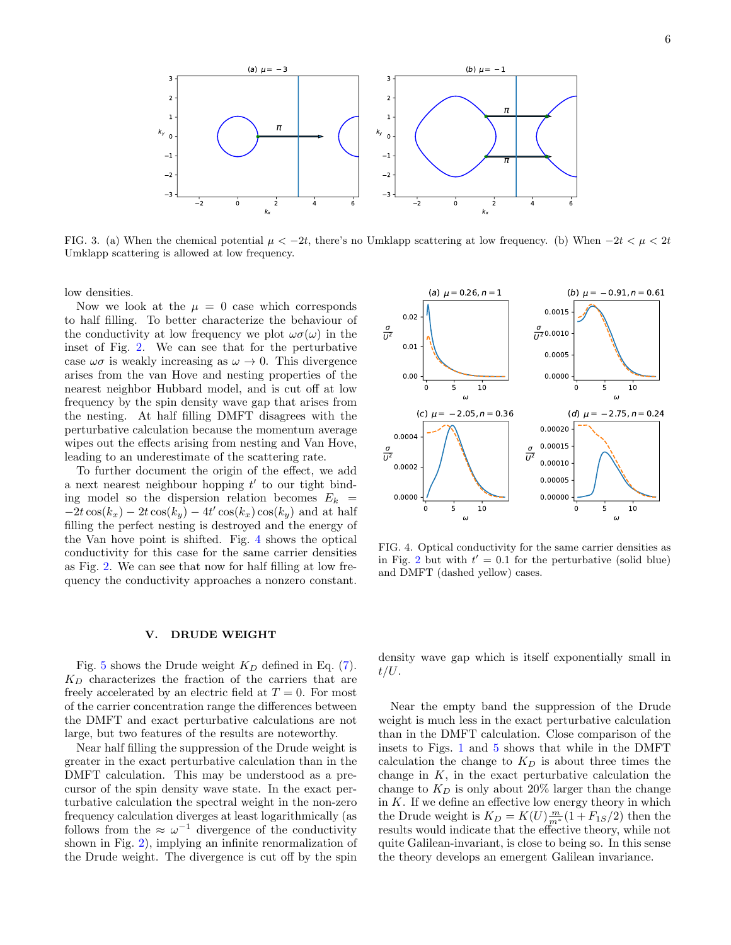

<span id="page-5-1"></span>FIG. 3. (a) When the chemical potential  $\mu < -2t$ , there's no Umklapp scattering at low frequency. (b) When  $-2t < \mu < 2t$ Umklapp scattering is allowed at low frequency.

low densities.

Now we look at the  $\mu = 0$  case which corresponds to half filling. To better characterize the behaviour of the conductivity at low frequency we plot  $\omega\sigma(\omega)$  in the inset of Fig. [2.](#page-4-0) We can see that for the perturbative case  $\omega\sigma$  is weakly increasing as  $\omega \to 0$ . This divergence arises from the van Hove and nesting properties of the nearest neighbor Hubbard model, and is cut off at low frequency by the spin density wave gap that arises from the nesting. At half filling DMFT disagrees with the perturbative calculation because the momentum average wipes out the effects arising from nesting and Van Hove, leading to an underestimate of the scattering rate.

To further document the origin of the effect, we add a next nearest neighbour hopping  $t'$  to our tight binding model so the dispersion relation becomes  $E_k =$  $-2t\cos(k_x) - 2t\cos(k_y) - 4t'\cos(k_x)\cos(k_y)$  and at half filling the perfect nesting is destroyed and the energy of the Van hove point is shifted. Fig. [4](#page-5-2) shows the optical conductivity for this case for the same carrier densities as Fig. [2.](#page-4-0) We can see that now for half filling at low frequency the conductivity approaches a nonzero constant.

#### <span id="page-5-0"></span>V. DRUDE WEIGHT

Fig. [5](#page-6-2) shows the Drude weight  $K_D$  defined in Eq. [\(7\)](#page-1-7).  $K_D$  characterizes the fraction of the carriers that are freely accelerated by an electric field at  $T = 0$ . For most of the carrier concentration range the differences between the DMFT and exact perturbative calculations are not large, but two features of the results are noteworthy.

Near half filling the suppression of the Drude weight is greater in the exact perturbative calculation than in the DMFT calculation. This may be understood as a precursor of the spin density wave state. In the exact perturbative calculation the spectral weight in the non-zero frequency calculation diverges at least logarithmically (as follows from the  $\approx \omega^{-1}$  divergence of the conductivity shown in Fig. [2\)](#page-4-0), implying an infinite renormalization of the Drude weight. The divergence is cut off by the spin



<span id="page-5-2"></span>FIG. 4. Optical conductivity for the same carrier densities as in Fig. [2](#page-4-0) but with  $t' = 0.1$  for the perturbative (solid blue) and DMFT (dashed yellow) cases.

density wave gap which is itself exponentially small in  $t/U$ .

Near the empty band the suppression of the Drude weight is much less in the exact perturbative calculation than in the DMFT calculation. Close comparison of the insets to Figs. [1](#page-3-4) and [5](#page-6-2) shows that while in the DMFT calculation the change to  $K_D$  is about three times the change in  $K$ , in the exact perturbative calculation the change to  $K_D$  is only about 20% larger than the change in  $K$ . If we define an effective low energy theory in which the Drude weight is  $K_D = K(U) \frac{m}{m^*} (1 + F_{1S}/2)$  then the results would indicate that the effective theory, while not quite Galilean-invariant, is close to being so. In this sense the theory develops an emergent Galilean invariance.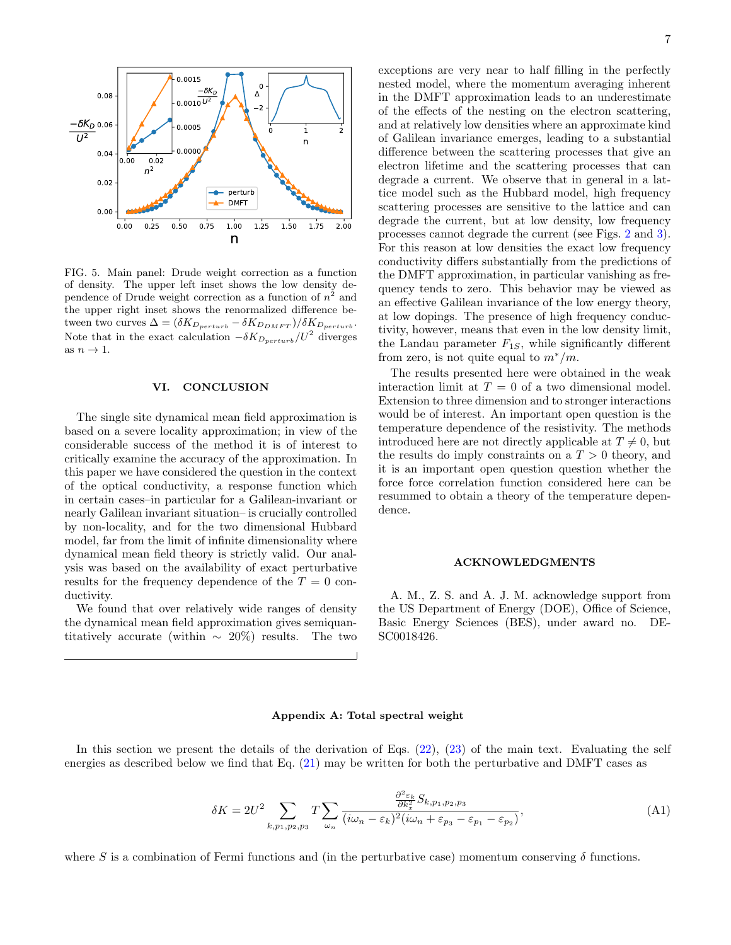

<span id="page-6-2"></span>FIG. 5. Main panel: Drude weight correction as a function of density. The upper left inset shows the low density dependence of Drude weight correction as a function of  $n^2$  and the upper right inset shows the renormalized difference between two curves  $\Delta = (\delta K_{D_{perturb}} - \delta K_{D_{DMFT}})/\delta K_{D_{perturb}}$ . Note that in the exact calculation  $-\delta K_{D_{perturb}} / U^2$  diverges as  $n \to 1$ .

### <span id="page-6-0"></span>VI. CONCLUSION

The single site dynamical mean field approximation is based on a severe locality approximation; in view of the considerable success of the method it is of interest to critically examine the accuracy of the approximation. In this paper we have considered the question in the context of the optical conductivity, a response function which in certain cases–in particular for a Galilean-invariant or nearly Galilean invariant situation– is crucially controlled by non-locality, and for the two dimensional Hubbard model, far from the limit of infinite dimensionality where dynamical mean field theory is strictly valid. Our analysis was based on the availability of exact perturbative results for the frequency dependence of the  $T = 0$  conductivity.

We found that over relatively wide ranges of density the dynamical mean field approximation gives semiquantitatively accurate (within  $\sim 20\%$ ) results. The two exceptions are very near to half filling in the perfectly nested model, where the momentum averaging inherent in the DMFT approximation leads to an underestimate of the effects of the nesting on the electron scattering, and at relatively low densities where an approximate kind of Galilean invariance emerges, leading to a substantial difference between the scattering processes that give an electron lifetime and the scattering processes that can degrade a current. We observe that in general in a lattice model such as the Hubbard model, high frequency scattering processes are sensitive to the lattice and can degrade the current, but at low density, low frequency processes cannot degrade the current (see Figs. [2](#page-4-0) and [3\)](#page-5-1). For this reason at low densities the exact low frequency conductivity differs substantially from the predictions of the DMFT approximation, in particular vanishing as frequency tends to zero. This behavior may be viewed as an effective Galilean invariance of the low energy theory, at low dopings. The presence of high frequency conductivity, however, means that even in the low density limit, the Landau parameter  $F_{1S}$ , while significantly different from zero, is not quite equal to  $m^*/m$ .

The results presented here were obtained in the weak interaction limit at  $T = 0$  of a two dimensional model. Extension to three dimension and to stronger interactions would be of interest. An important open question is the temperature dependence of the resistivity. The methods introduced here are not directly applicable at  $T \neq 0$ , but the results do imply constraints on a  $T > 0$  theory, and it is an important open question question whether the force force correlation function considered here can be resummed to obtain a theory of the temperature dependence.

#### ACKNOWLEDGMENTS

A. M., Z. S. and A. J. M. acknowledge support from the US Department of Energy (DOE), Office of Science, Basic Energy Sciences (BES), under award no. DE-SC0018426.

# <span id="page-6-1"></span>Appendix A: Total spectral weight

In this section we present the details of the derivation of Eqs. [\(22\)](#page-3-3), [\(23\)](#page-3-2) of the main text. Evaluating the self energies as described below we find that Eq. [\(21\)](#page-3-1) may be written for both the perturbative and DMFT cases as

$$
\delta K = 2U^2 \sum_{k,p_1,p_2,p_3} T \sum_{\omega_n} \frac{\frac{\partial^2 \varepsilon_k}{\partial k_x^2} S_{k,p_1,p_2,p_3}}{(i\omega_n - \varepsilon_k)^2 (i\omega_n + \varepsilon_{p_3} - \varepsilon_{p_1} - \varepsilon_{p_2})},\tag{A1}
$$

where S is a combination of Fermi functions and (in the perturbative case) momentum conserving  $\delta$  functions.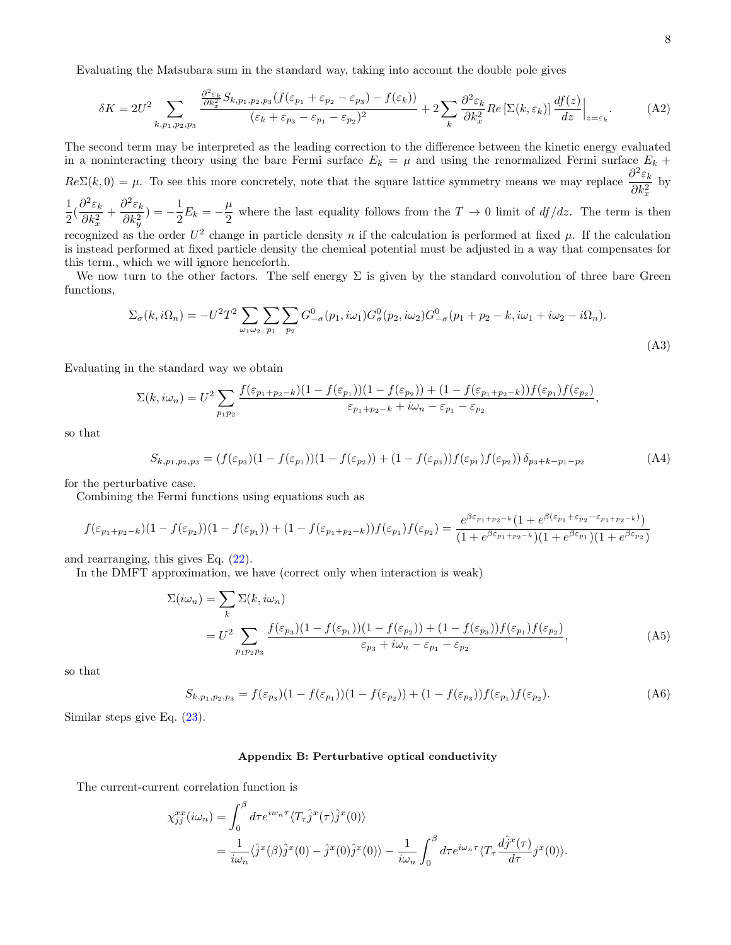Evaluating the Matsubara sum in the standard way, taking into account the double pole gives

$$
\delta K = 2U^2 \sum_{k, p_1, p_2, p_3} \frac{\frac{\partial^2 \varepsilon_k}{\partial k_x^2} S_{k, p_1, p_2, p_3} (f(\varepsilon_{p_1} + \varepsilon_{p_2} - \varepsilon_{p_3}) - f(\varepsilon_k))}{(\varepsilon_k + \varepsilon_{p_3} - \varepsilon_{p_1} - \varepsilon_{p_2})^2} + 2 \sum_k \frac{\partial^2 \varepsilon_k}{\partial k_x^2} Re\left[\Sigma(k, \varepsilon_k)\right] \frac{df(z)}{dz}\Big|_{z=\varepsilon_k}.\tag{A2}
$$

The second term may be interpreted as the leading correction to the difference between the kinetic energy evaluated in a noninteracting theory using the bare Fermi surface  $E_k = \mu$  and using the renormalized Fermi surface  $E_k$  +  $Re\Sigma(k,0) = \mu$ . To see this more concretely, note that the square lattice symmetry means we may replace  $\frac{\partial^2 \varepsilon_k}{\partial k^2}$  $\partial k_x^2$ by 1

 $\frac{1}{2}(\frac{\partial^2 \varepsilon_k}{\partial k_x^2}$  $\partial k_x^2$  $+\frac{\partial^2 \varepsilon_k}{\partial t^2}$  $\partial k_y^2$  $) = -\frac{1}{2}$  $\frac{1}{2}E_k = -\frac{\mu}{2}$  $\frac{\mu}{2}$  where the last equality follows from the  $T \to 0$  limit of  $df/dz$ . The term is then recognized as the order  $U^2$  change in particle density n if the calculation is performed at fixed  $\mu$ . If the calculation is instead performed at fixed particle density the chemical potential must be adjusted in a way that compensates for

this term., which we will ignore henceforth. We now turn to the other factors. The self energy  $\Sigma$  is given by the standard convolution of three bare Green

functions,

$$
\Sigma_{\sigma}(k, i\Omega_n) = -U^2 T^2 \sum_{\omega_1 \omega_2} \sum_{p_1} \sum_{p_2} G^0_{-\sigma}(p_1, i\omega_1) G^0_{\sigma}(p_2, i\omega_2) G^0_{-\sigma}(p_1 + p_2 - k, i\omega_1 + i\omega_2 - i\Omega_n).
$$
\n(A3)

Evaluating in the standard way we obtain

$$
\Sigma(k,i\omega_n) = U^2 \sum_{p_1p_2} \frac{f(\varepsilon_{p_1+p_2-k})(1 - f(\varepsilon_{p_1}))(1 - f(\varepsilon_{p_2})) + (1 - f(\varepsilon_{p_1+p_2-k}))f(\varepsilon_{p_1})f(\varepsilon_{p_2})}{\varepsilon_{p_1+p_2-k} + i\omega_n - \varepsilon_{p_1} - \varepsilon_{p_2}},
$$

so that

$$
S_{k,p_1,p_2,p_3} = (f(\varepsilon_{p_3})(1 - f(\varepsilon_{p_1}))(1 - f(\varepsilon_{p_2})) + (1 - f(\varepsilon_{p_3}))f(\varepsilon_{p_1})f(\varepsilon_{p_2}))\,\delta_{p_3 + k - p_1 - p_2} \tag{A4}
$$

for the perturbative case.

Combining the Fermi functions using equations such as

<span id="page-7-2"></span>
$$
f(\varepsilon_{p_1+p_2-k})(1-f(\varepsilon_{p_2}))(1-f(\varepsilon_{p_1}))+ (1-f(\varepsilon_{p_1+p_2-k}))f(\varepsilon_{p_1})f(\varepsilon_{p_2}) = \frac{e^{\beta \varepsilon_{p_1+p_2-k}}(1+e^{\beta(\varepsilon_{p_1}+\varepsilon_{p_2}-\varepsilon_{p_1+p_2-k})})}{(1+e^{\beta \varepsilon_{p_1+p_2-k}})(1+e^{\beta \varepsilon_{p_2}})(1+e^{\beta \varepsilon_{p_2}})}
$$

and rearranging, this gives Eq. [\(22\)](#page-3-3).

In the DMFT approximation, we have (correct only when interaction is weak)

$$
\Sigma(i\omega_n) = \sum_{k} \Sigma(k, i\omega_n)
$$
  
= 
$$
U^2 \sum_{p_1p_2p_3} \frac{f(\varepsilon_{p_3})(1 - f(\varepsilon_{p_1}))(1 - f(\varepsilon_{p_2})) + (1 - f(\varepsilon_{p_3}))f(\varepsilon_{p_1})f(\varepsilon_{p_2})}{\varepsilon_{p_3} + i\omega_n - \varepsilon_{p_1} - \varepsilon_{p_2}},
$$
 (A5)

so that

$$
S_{k,p_1,p_2,p_3} = f(\varepsilon_{p_3})(1 - f(\varepsilon_{p_1}))(1 - f(\varepsilon_{p_2})) + (1 - f(\varepsilon_{p_3}))f(\varepsilon_{p_1})f(\varepsilon_{p_2}).
$$
\n(A6)

Similar steps give Eq. [\(23\)](#page-3-2).

#### <span id="page-7-0"></span>Appendix B: Perturbative optical conductivity

The current-current correlation function is

<span id="page-7-1"></span>
$$
\chi_{jj}^{xx}(i\omega_n) = \int_0^\beta d\tau e^{iw_n\tau} \langle T_\tau \hat{j}^x(\tau) \hat{j}^x(0) \rangle
$$
  
= 
$$
\frac{1}{i\omega_n} \langle \hat{j}^x(\beta) \hat{j}^x(0) - \hat{j}^x(0) \hat{j}^x(0) \rangle - \frac{1}{i\omega_n} \int_0^\beta d\tau e^{i\omega_n\tau} \langle T_\tau \frac{d\hat{j}^x(\tau)}{d\tau} j^x(0) \rangle.
$$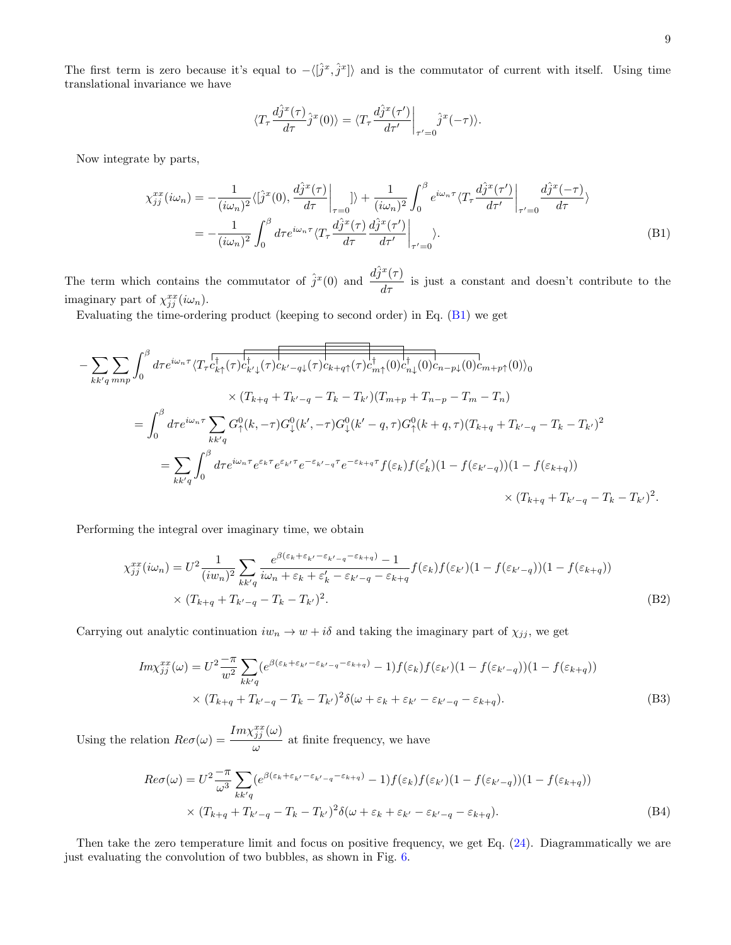The first term is zero because it's equal to  $-\langle [\hat{j}^x, \hat{j}^x] \rangle$  and is the commutator of current with itself. Using time translational invariance we have

$$
\langle T_{\tau} \frac{d\hat{j}^x(\tau)}{d\tau} \hat{j}^x(0) \rangle = \langle T_{\tau} \frac{d\hat{j}^x(\tau')}{d\tau'} \bigg|_{\tau'=0} \hat{j}^x(-\tau) \rangle.
$$

Now integrate by parts,

$$
\chi_{jj}^{xx}(i\omega_n) = -\frac{1}{(i\omega_n)^2} \langle \left[\hat{j}^x(0), \frac{d\hat{j}^x(\tau)}{d\tau}\right]_{\tau=0} \rangle + \frac{1}{(i\omega_n)^2} \int_0^\beta e^{i\omega_n \tau} \langle T_\tau \frac{d\hat{j}^x(\tau')}{d\tau'} \Big|_{\tau'=0} \frac{d\hat{j}^x(-\tau)}{d\tau} \rangle
$$
  
= 
$$
-\frac{1}{(i\omega_n)^2} \int_0^\beta d\tau e^{i\omega_n \tau} \langle T_\tau \frac{d\hat{j}^x(\tau)}{d\tau} \frac{d\hat{j}^x(\tau')}{d\tau'} \Big|_{\tau'=0} \rangle.
$$
 (B1)

The term which contains the commutator of  $\hat{j}^x(0)$  and  $\frac{d\hat{j}^x(\tau)}{d\tau}$  is just a constant and doesn't contribute to the imaginary part of  $\chi_{jj}^{xx}(i\omega_n)$ .

Evaluating the time-ordering product (keeping to second order) in Eq. [\(B1\)](#page-7-1) we get

$$
- \sum_{kk'q \, mnp} \int_{0}^{\beta} d\tau e^{i\omega_{n}\tau} \langle T_{\tau} c_{k\uparrow}^{\dagger}(\tau) c_{k'\downarrow}^{\dagger}(\tau) c_{k'-q\downarrow}(\tau) c_{k+q\uparrow}(\tau) c_{m\uparrow}^{\dagger}(\theta) c_{n\downarrow}^{\dagger}(\theta) c_{n-p\downarrow}(\theta) c_{m+p\uparrow}(\theta) \rangle_{0}
$$
  
\n
$$
\times (T_{k+q} + T_{k'-q} - T_{k} - T_{k'}) (T_{m+p} + T_{n-p} - T_{m} - T_{n})
$$
  
\n
$$
= \int_{0}^{\beta} d\tau e^{i\omega_{n}\tau} \sum_{kk'q} G_{\uparrow}^{0}(k, -\tau) G_{\downarrow}^{0}(k', -\tau) G_{\downarrow}^{0}(k' - q, \tau) G_{\uparrow}^{0}(k + q, \tau) (T_{k+q} + T_{k'-q} - T_{k} - T_{k'})^{2}
$$
  
\n
$$
= \sum_{kk'q} \int_{0}^{\beta} d\tau e^{i\omega_{n}\tau} e^{\varepsilon_{k}\tau} e^{\varepsilon_{k'}\tau} e^{-\varepsilon_{k'-q}\tau} e^{-\varepsilon_{k+q}\tau} f(\varepsilon_{k}) f(\varepsilon'_{k}) (1 - f(\varepsilon_{k'-q})) (1 - f(\varepsilon_{k+q}))
$$
  
\n
$$
\times (T_{k+q} + T_{k'-q} - T_{k} - T_{k'})^{2}.
$$

Performing the integral over imaginary time, we obtain

$$
\chi_{jj}^{xx}(i\omega_n) = U^2 \frac{1}{(iw_n)^2} \sum_{kk'q} \frac{e^{\beta(\varepsilon_k + \varepsilon_{k'} - \varepsilon_{k'-q} - \varepsilon_{k+q})} - 1}{i\omega_n + \varepsilon_k + \varepsilon_k' - \varepsilon_{k'-q} - \varepsilon_{k+q}} f(\varepsilon_k) f(\varepsilon_{k'}) (1 - f(\varepsilon_{k'-q})) (1 - f(\varepsilon_{k+q}))
$$
  
 
$$
\times (T_{k+q} + T_{k'-q} - T_k - T_{k'})^2.
$$
 (B2)

Carrying out analytic continuation  $iw_n \to w + i\delta$  and taking the imaginary part of  $\chi_{jj}$ , we get

$$
Im \chi_{jj}^{xx}(\omega) = U^2 \frac{-\pi}{w^2} \sum_{kk'q} (e^{\beta(\varepsilon_k + \varepsilon_{k'} - \varepsilon_{k'-q} - \varepsilon_{k+q})} - 1) f(\varepsilon_k) f(\varepsilon_{k'}) (1 - f(\varepsilon_{k'-q})) (1 - f(\varepsilon_{k+q}))
$$
  
 
$$
\times (T_{k+q} + T_{k'-q} - T_k - T_{k'})^2 \delta(\omega + \varepsilon_k + \varepsilon_{k'} - \varepsilon_{k'-q} - \varepsilon_{k+q}). \tag{B3}
$$

Using the relation  $\text{Re}\sigma(\omega) = \frac{\text{Im}\chi_{jj}^{xx}(\omega)}{(\omega)}$  $\frac{\partial f}{\partial y}$  at finite frequency, we have

$$
Re\sigma(\omega) = U^2 \frac{-\pi}{\omega^3} \sum_{kk'q} (e^{\beta(\varepsilon_k + \varepsilon_{k'} - \varepsilon_{k'-q} - \varepsilon_{k+q})} - 1) f(\varepsilon_k) f(\varepsilon_{k'}) (1 - f(\varepsilon_{k'-q})) (1 - f(\varepsilon_{k+q}))
$$
  
 
$$
\times (T_{k+q} + T_{k'-q} - T_k - T_{k'})^2 \delta(\omega + \varepsilon_k + \varepsilon_{k'} - \varepsilon_{k'-q} - \varepsilon_{k+q}). \tag{B4}
$$

Then take the zero temperature limit and focus on positive frequency, we get Eq. [\(24\)](#page-3-5). Diagrammatically we are just evaluating the convolution of two bubbles, as shown in Fig. [6.](#page-9-1)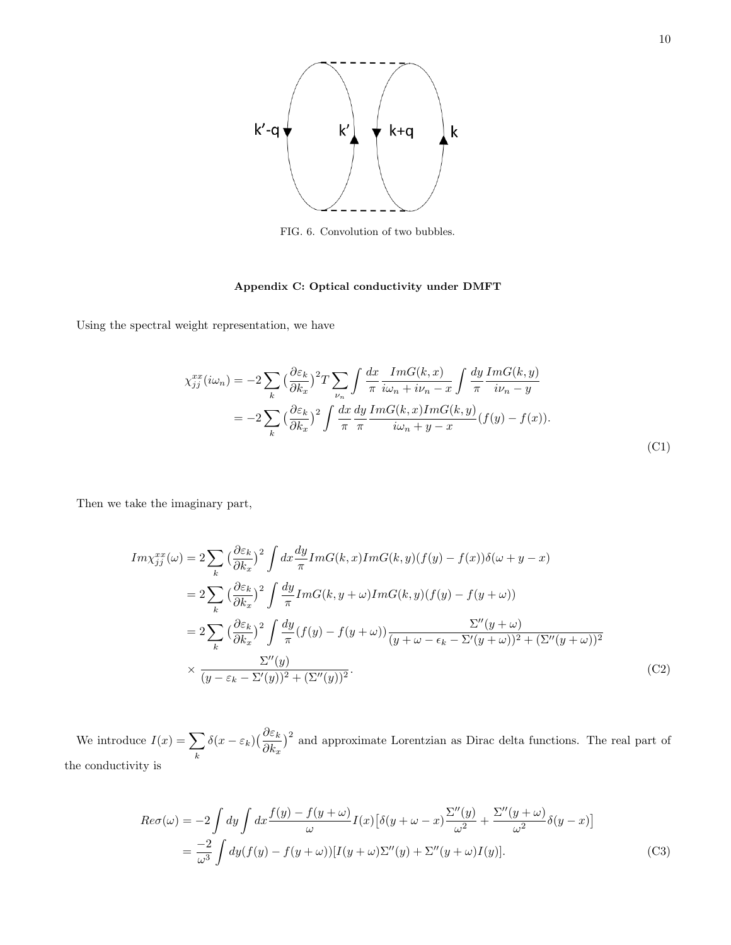

FIG. 6. Convolution of two bubbles.

# <span id="page-9-0"></span>Appendix C: Optical conductivity under DMFT

<span id="page-9-1"></span>Using the spectral weight representation, we have

$$
\chi_{jj}^{xx}(i\omega_n) = -2\sum_{k} \left(\frac{\partial \varepsilon_k}{\partial k_x}\right)^2 T \sum_{\nu_n} \int \frac{dx}{\pi} \frac{ImG(k, x)}{i\omega_n + i\nu_n - x} \int \frac{dy}{\pi} \frac{ImG(k, y)}{i\nu_n - y}
$$

$$
= -2\sum_{k} \left(\frac{\partial \varepsilon_k}{\partial k_x}\right)^2 \int \frac{dx}{\pi} \frac{dy}{\pi} \frac{ImG(k, x)ImG(k, y)}{i\omega_n + y - x} (f(y) - f(x)).
$$
(C1)

Then we take the imaginary part,

$$
Im\chi_{jj}^{xx}(\omega) = 2\sum_{k} \left(\frac{\partial \varepsilon_{k}}{\partial k_{x}}\right)^{2} \int dx \frac{dy}{\pi} ImG(k, x) ImG(k, y) (f(y) - f(x))\delta(\omega + y - x)
$$
  
\n
$$
= 2\sum_{k} \left(\frac{\partial \varepsilon_{k}}{\partial k_{x}}\right)^{2} \int \frac{dy}{\pi} ImG(k, y + \omega) ImG(k, y) (f(y) - f(y + \omega))
$$
  
\n
$$
= 2\sum_{k} \left(\frac{\partial \varepsilon_{k}}{\partial k_{x}}\right)^{2} \int \frac{dy}{\pi} (f(y) - f(y + \omega)) \frac{\Sigma''(y + \omega)}{(y + \omega - \epsilon_{k} - \Sigma'(y + \omega))^{2} + (\Sigma''(y + \omega))^{2}}
$$
  
\n
$$
\times \frac{\Sigma''(y)}{(y - \varepsilon_{k} - \Sigma'(y))^{2} + (\Sigma''(y))^{2}}.
$$
 (C2)

We introduce  $I(x) = \sum$ k  $\delta(x-\varepsilon_k)$  $\left(\frac{\partial \varepsilon_k}{\partial t}\right)$  $\partial k_x$ )<sup>2</sup> and approximate Lorentzian as Dirac delta functions. The real part of the conductivity is

$$
Re\sigma(\omega) = -2 \int dy \int dx \frac{f(y) - f(y + \omega)}{\omega} I(x) \left[ \delta(y + \omega - x) \frac{\Sigma''(y)}{\omega^2} + \frac{\Sigma''(y + \omega)}{\omega^2} \delta(y - x) \right]
$$
  
= 
$$
\frac{-2}{\omega^3} \int dy (f(y) - f(y + \omega)) [I(y + \omega)\Sigma''(y) + \Sigma''(y + \omega)I(y)].
$$
 (C3)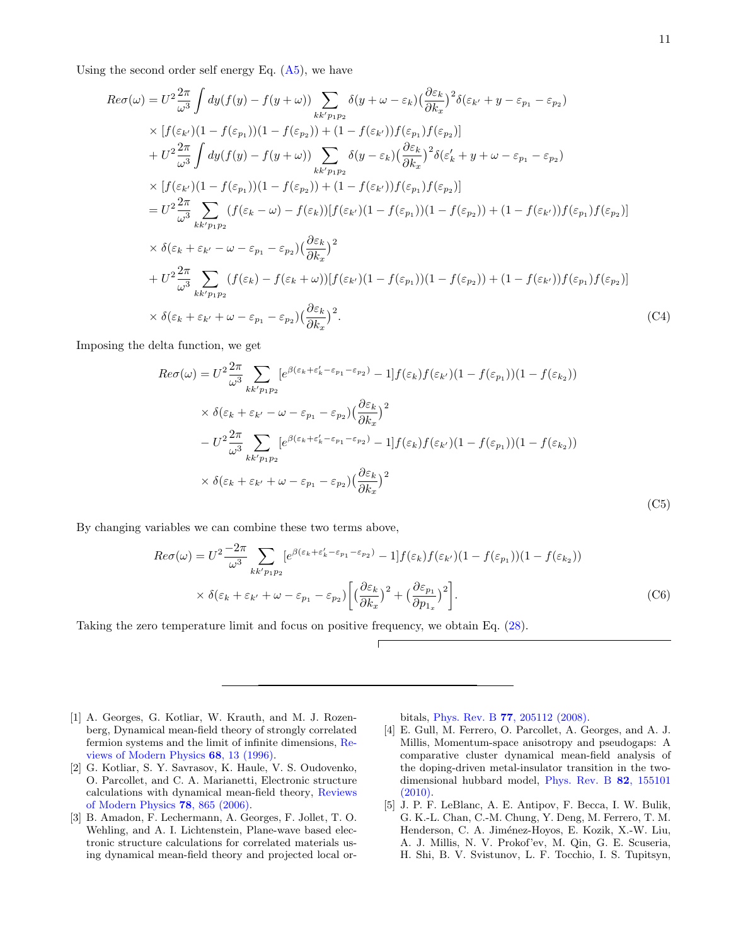Using the second order self energy Eq.  $(A5)$ , we have

$$
Re\sigma(\omega) = U^{2} \frac{2\pi}{\omega^{3}} \int dy(f(y) - f(y + \omega)) \sum_{kk'p_{1}p_{2}} \delta(y + \omega - \varepsilon_{k}) \left(\frac{\partial \varepsilon_{k}}{\partial k_{x}}\right)^{2} \delta(\varepsilon_{k'} + y - \varepsilon_{p_{1}} - \varepsilon_{p_{2}})
$$
  
\n
$$
\times [f(\varepsilon_{k'})(1 - f(\varepsilon_{p_{1}}))(1 - f(\varepsilon_{p_{2}})) + (1 - f(\varepsilon_{k'}))f(\varepsilon_{p_{1}})f(\varepsilon_{p_{2}})]
$$
  
\n
$$
+ U^{2} \frac{2\pi}{\omega^{3}} \int dy(f(y) - f(y + \omega)) \sum_{kk'p_{1}p_{2}} \delta(y - \varepsilon_{k}) \left(\frac{\partial \varepsilon_{k}}{\partial k_{x}}\right)^{2} \delta(\varepsilon_{k}' + y + \omega - \varepsilon_{p_{1}} - \varepsilon_{p_{2}})
$$
  
\n
$$
\times [f(\varepsilon_{k'})(1 - f(\varepsilon_{p_{1}}))(1 - f(\varepsilon_{p_{2}})) + (1 - f(\varepsilon_{k'}))f(\varepsilon_{p_{1}})f(\varepsilon_{p_{2}})]
$$
  
\n
$$
= U^{2} \frac{2\pi}{\omega^{3}} \sum_{kk'p_{1}p_{2}} (f(\varepsilon_{k} - \omega) - f(\varepsilon_{k}))[f(\varepsilon_{k'})(1 - f(\varepsilon_{p_{1}}))(1 - f(\varepsilon_{p_{2}})) + (1 - f(\varepsilon_{k'}))f(\varepsilon_{p_{1}})f(\varepsilon_{p_{2}})]
$$
  
\n
$$
\times \delta(\varepsilon_{k} + \varepsilon_{k'} - \omega - \varepsilon_{p_{1}} - \varepsilon_{p_{2}}) \left(\frac{\partial \varepsilon_{k}}{\partial k_{x}}\right)^{2}
$$
  
\n
$$
+ U^{2} \frac{2\pi}{\omega^{3}} \sum_{kk'p_{1}p_{2}} (f(\varepsilon_{k}) - f(\varepsilon_{k} + \omega))[f(\varepsilon_{k'})(1 - f(\varepsilon_{p_{1}}))(1 - f(\varepsilon_{p_{2}})) + (1 - f(\varepsilon_{k'}))f(\varepsilon_{p_{1}})f(\varepsilon_{p_{2}}
$$

Imposing the delta function, we get

$$
Re\sigma(\omega) = U^2 \frac{2\pi}{\omega^3} \sum_{kk'p_1p_2} \left[ e^{\beta(\varepsilon_k + \varepsilon'_k - \varepsilon_{p_1} - \varepsilon_{p_2})} - 1 \right] f(\varepsilon_k) f(\varepsilon_{k'}) (1 - f(\varepsilon_{p_1})) (1 - f(\varepsilon_{k_2}))
$$
  
\n
$$
\times \delta(\varepsilon_k + \varepsilon_{k'} - \omega - \varepsilon_{p_1} - \varepsilon_{p_2}) \left( \frac{\partial \varepsilon_k}{\partial k_x} \right)^2
$$
  
\n
$$
- U^2 \frac{2\pi}{\omega^3} \sum_{kk'p_1p_2} \left[ e^{\beta(\varepsilon_k + \varepsilon'_k - \varepsilon_{p_1} - \varepsilon_{p_2})} - 1 \right] f(\varepsilon_k) f(\varepsilon_{k'}) (1 - f(\varepsilon_{p_1})) (1 - f(\varepsilon_{k_2}))
$$
  
\n
$$
\times \delta(\varepsilon_k + \varepsilon_{k'} + \omega - \varepsilon_{p_1} - \varepsilon_{p_2}) \left( \frac{\partial \varepsilon_k}{\partial k_x} \right)^2
$$
  
\n(C5)

By changing variables we can combine these two terms above,

$$
Re\sigma(\omega) = U^2 \frac{-2\pi}{\omega^3} \sum_{kk'p_1p_2} \left[ e^{\beta(\varepsilon_k + \varepsilon'_k - \varepsilon_{p_1} - \varepsilon_{p_2})} - 1 \right] f(\varepsilon_k) f(\varepsilon_{k'}) (1 - f(\varepsilon_{p_1})) (1 - f(\varepsilon_{k_2}))
$$
  
 
$$
\times \delta(\varepsilon_k + \varepsilon_{k'} + \omega - \varepsilon_{p_1} - \varepsilon_{p_2}) \left[ \left( \frac{\partial \varepsilon_k}{\partial k_x} \right)^2 + \left( \frac{\partial \varepsilon_{p_1}}{\partial p_1} \right)^2 \right].
$$
 (C6)

 $\Gamma$ 

Taking the zero temperature limit and focus on positive frequency, we obtain Eq. [\(28\)](#page-4-1).

- <span id="page-10-0"></span>[1] A. Georges, G. Kotliar, W. Krauth, and M. J. Rozenberg, Dynamical mean-field theory of strongly correlated fermion systems and the limit of infinite dimensions, [Re](https://doi.org/doi.org/10.1103/RevModPhys.68.13)[views of Modern Physics](https://doi.org/doi.org/10.1103/RevModPhys.68.13) 68, 13 (1996).
- <span id="page-10-1"></span>[2] G. Kotliar, S. Y. Savrasov, K. Haule, V. S. Oudovenko, O. Parcollet, and C. A. Marianetti, Electronic structure calculations with dynamical mean-field theory, [Reviews](https://doi.org/10.1103/RevModPhys.78.865) [of Modern Physics](https://doi.org/10.1103/RevModPhys.78.865) 78, 865 (2006).
- <span id="page-10-2"></span>[3] B. Amadon, F. Lechermann, A. Georges, F. Jollet, T. O. Wehling, and A. I. Lichtenstein, Plane-wave based electronic structure calculations for correlated materials using dynamical mean-field theory and projected local or-

bitals, Phys. Rev. B 77[, 205112 \(2008\).](https://doi.org/10.1103/PhysRevB.77.205112)

- <span id="page-10-3"></span>[4] E. Gull, M. Ferrero, O. Parcollet, A. Georges, and A. J. Millis, Momentum-space anisotropy and pseudogaps: A comparative cluster dynamical mean-field analysis of the doping-driven metal-insulator transition in the twodimensional hubbard model, [Phys. Rev. B](https://doi.org/10.1103/PhysRevB.82.155101) 82, 155101 [\(2010\).](https://doi.org/10.1103/PhysRevB.82.155101)
- [5] J. P. F. LeBlanc, A. E. Antipov, F. Becca, I. W. Bulik, G. K.-L. Chan, C.-M. Chung, Y. Deng, M. Ferrero, T. M. Henderson, C. A. Jiménez-Hoyos, E. Kozik, X.-W. Liu, A. J. Millis, N. V. Prokof'ev, M. Qin, G. E. Scuseria, H. Shi, B. V. Svistunov, L. F. Tocchio, I. S. Tupitsyn,